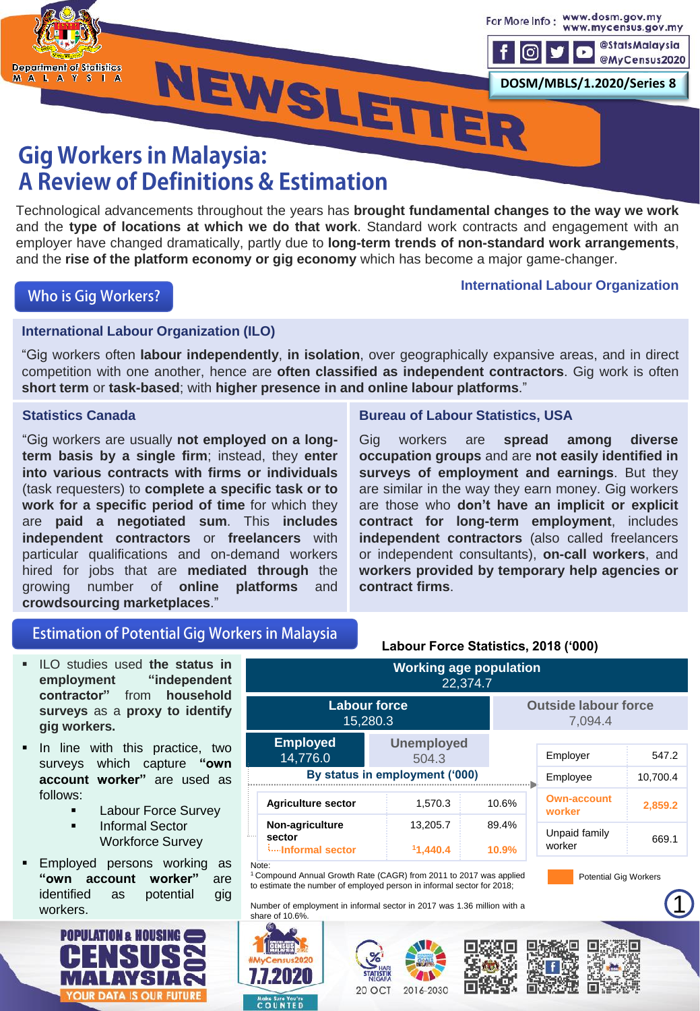

### **Gig Workers in Malaysia: A Review of Definitions & Estimation**

Technological advancements throughout the years has **brought fundamental changes to the way we work** and the **type of locations at which we do that work**. Standard work contracts and engagement with an employer have changed dramatically, partly due to **long-term trends of non-standard work arrangements**, and the **rise of the platform economy or gig economy** which has become a major game-changer.

### **Who is Gig Workers?**

#### **International Labour Organization**

### **International Labour Organization (ILO)**

"Gig workers often **labour independently**, **in isolation**, over geographically expansive areas, and in direct competition with one another, hence are **often classified as independent contractors**. Gig work is often **short term** or **task-based**; with **higher presence in and online labour platforms**."

#### **Statistics Canada**

"Gig workers are usually **not employed on a longterm basis by a single firm**; instead, they **enter into various contracts with firms or individuals** (task requesters) to **complete a specific task or to work for a specific period of time** for which they are **paid a negotiated sum**. This **includes independent contractors** or **freelancers** with particular qualifications and on-demand workers hired for jobs that are **mediated through** the growing number of **online platforms** and **crowdsourcing marketplaces**."

#### **Bureau of Labour Statistics, USA**

Gig workers are **spread among diverse occupation groups** and are **not easily identified in surveys of employment and earnings**. But they are similar in the way they earn money. Gig workers are those who **don't have an implicit or explicit contract for long-term employment**, includes **independent contractors** (also called freelancers or independent consultants), **on-call workers**, and **workers provided by temporary help agencies or contract firms**.

### **Estimation of Potential Gig Workers in Malaysia**

- ILO studies used **the status in employment "independent contractor"** from **household surveys** as a **proxy to identify gig workers.**
- **In line with this practice, two** surveys which capture **"own account worker"** are used as follows:
	- **Labour Force Survey**
	- **E** Informal Sector Workforce Survey
- Employed persons working as **"own account worker"** are identified as potential gig workers.



|                                                                                                                                                                                                                                                                                                | $\frac{1}{2}$                                 | Labour Force Statistics, 2018 ('000) |                |                                        |          |  |
|------------------------------------------------------------------------------------------------------------------------------------------------------------------------------------------------------------------------------------------------------------------------------------------------|-----------------------------------------------|--------------------------------------|----------------|----------------------------------------|----------|--|
| <b>Working age population</b><br>22,374.7                                                                                                                                                                                                                                                      |                                               |                                      |                |                                        |          |  |
|                                                                                                                                                                                                                                                                                                | <b>Labour force</b><br>15,280.3               |                                      |                | <b>Outside labour force</b><br>7,094.4 |          |  |
|                                                                                                                                                                                                                                                                                                | <b>Employed</b><br>14,776.0                   | <b>Unemployed</b><br>504.3           |                | Employer                               | 547.2    |  |
|                                                                                                                                                                                                                                                                                                |                                               | By status in employment ('000)       |                | Employee                               | 10,700.4 |  |
|                                                                                                                                                                                                                                                                                                | <b>Agriculture sector</b>                     | 1,570.3                              | 10.6%          | <b>Own-account</b><br>worker           | 2,859.2  |  |
|                                                                                                                                                                                                                                                                                                | Non-agriculture<br>sector<br>iInformal sector | 13,205.7<br>11,440.4                 | 89.4%<br>10.9% | Unpaid family<br>worker                | 669.1    |  |
| Note:<br><sup>1</sup> Compound Annual Growth Rate (CAGR) from 2011 to 2017 was applied<br><b>Potential Gig Workers</b><br>to estimate the number of employed person in informal sector for 2018;<br>Number of employment in informal sector in 2017 was 1.36 million with a<br>share of 10.6%. |                                               |                                      |                |                                        |          |  |
|                                                                                                                                                                                                                                                                                                |                                               |                                      |                |                                        |          |  |



772020

**Moke Sure You're**